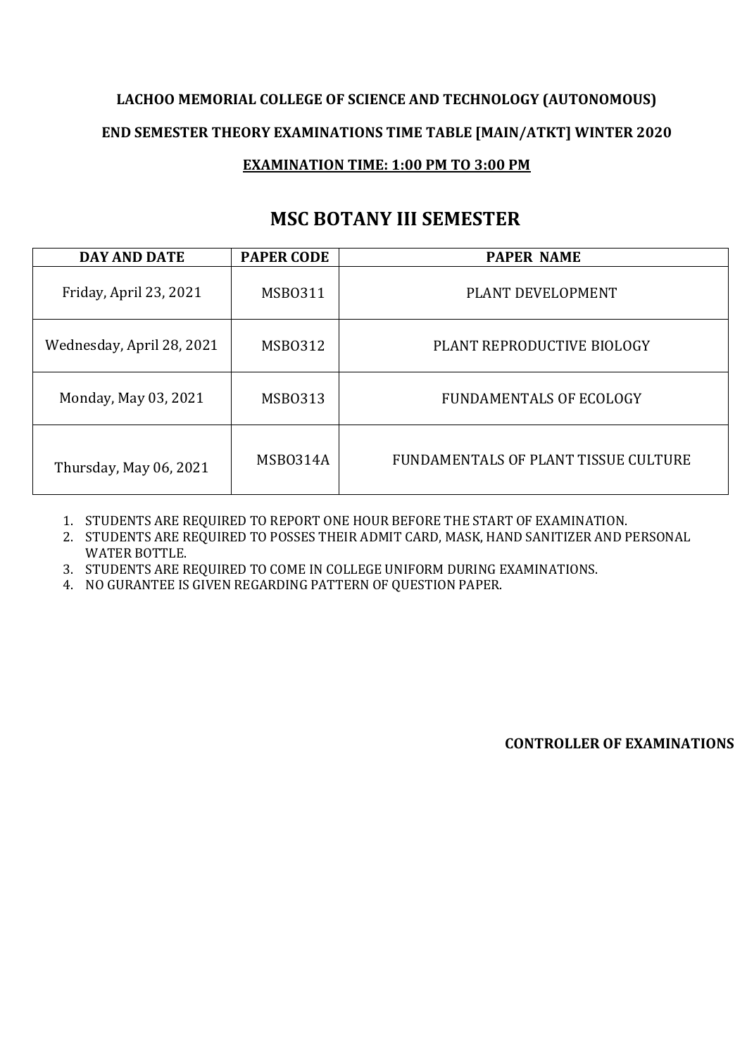#### **MSC BOTANY III SEMESTER**

| <b>DAY AND DATE</b>       | <b>PAPER CODE</b> | <b>PAPER NAME</b>                    |
|---------------------------|-------------------|--------------------------------------|
| Friday, April 23, 2021    | MSB0311           | PLANT DEVELOPMENT                    |
| Wednesday, April 28, 2021 | <b>MSB0312</b>    | PLANT REPRODUCTIVE BIOLOGY           |
| Monday, May 03, 2021      | <b>MSB0313</b>    | <b>FUNDAMENTALS OF ECOLOGY</b>       |
| Thursday, May 06, 2021    | MSB0314A          | FUNDAMENTALS OF PLANT TISSUE CULTURE |

1. STUDENTS ARE REQUIRED TO REPORT ONE HOUR BEFORE THE START OF EXAMINATION.

2. STUDENTS ARE REQUIRED TO POSSES THEIR ADMIT CARD, MASK, HAND SANITIZER AND PERSONAL WATER BOTTLE.

3. STUDENTS ARE REQUIRED TO COME IN COLLEGE UNIFORM DURING EXAMINATIONS.

4. NO GURANTEE IS GIVEN REGARDING PATTERN OF QUESTION PAPER.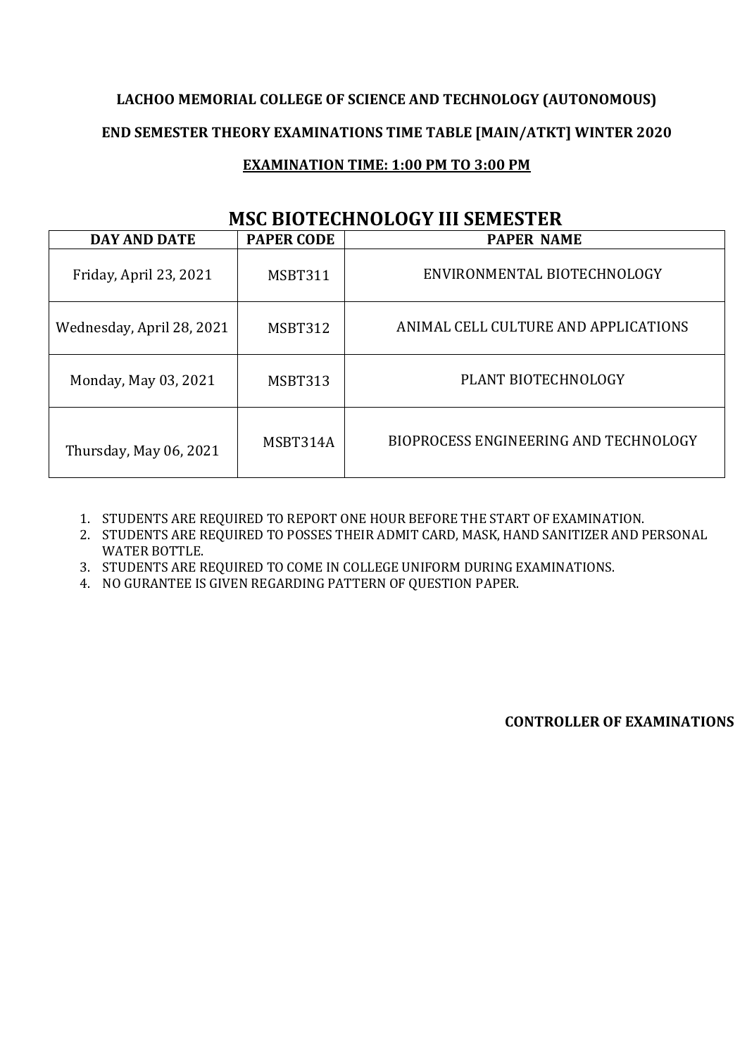# **LACHOO MEMORIAL COLLEGE OF SCIENCE AND TECHNOLOGY (AUTONOMOUS) END SEMESTER THEORY EXAMINATIONS TIME TABLE [MAIN/ATKT] WINTER 2020**

#### **EXAMINATION TIME: 1:00 PM TO 3:00 PM**

### **MSC BIOTECHNOLOGY III SEMESTER**

| <b>DAY AND DATE</b>       | <b>PAPER CODE</b> | <b>PAPER NAME</b>                     |
|---------------------------|-------------------|---------------------------------------|
| Friday, April 23, 2021    | MSBT311           | ENVIRONMENTAL BIOTECHNOLOGY           |
| Wednesday, April 28, 2021 | MSBT312           | ANIMAL CELL CULTURE AND APPLICATIONS  |
| Monday, May 03, 2021      | MSBT313           | PLANT BIOTECHNOLOGY                   |
| Thursday, May 06, 2021    | MSBT314A          | BIOPROCESS ENGINEERING AND TECHNOLOGY |

1. STUDENTS ARE REQUIRED TO REPORT ONE HOUR BEFORE THE START OF EXAMINATION.

2. STUDENTS ARE REQUIRED TO POSSES THEIR ADMIT CARD, MASK, HAND SANITIZER AND PERSONAL WATER BOTTLE.

3. STUDENTS ARE REQUIRED TO COME IN COLLEGE UNIFORM DURING EXAMINATIONS.

4. NO GURANTEE IS GIVEN REGARDING PATTERN OF QUESTION PAPER.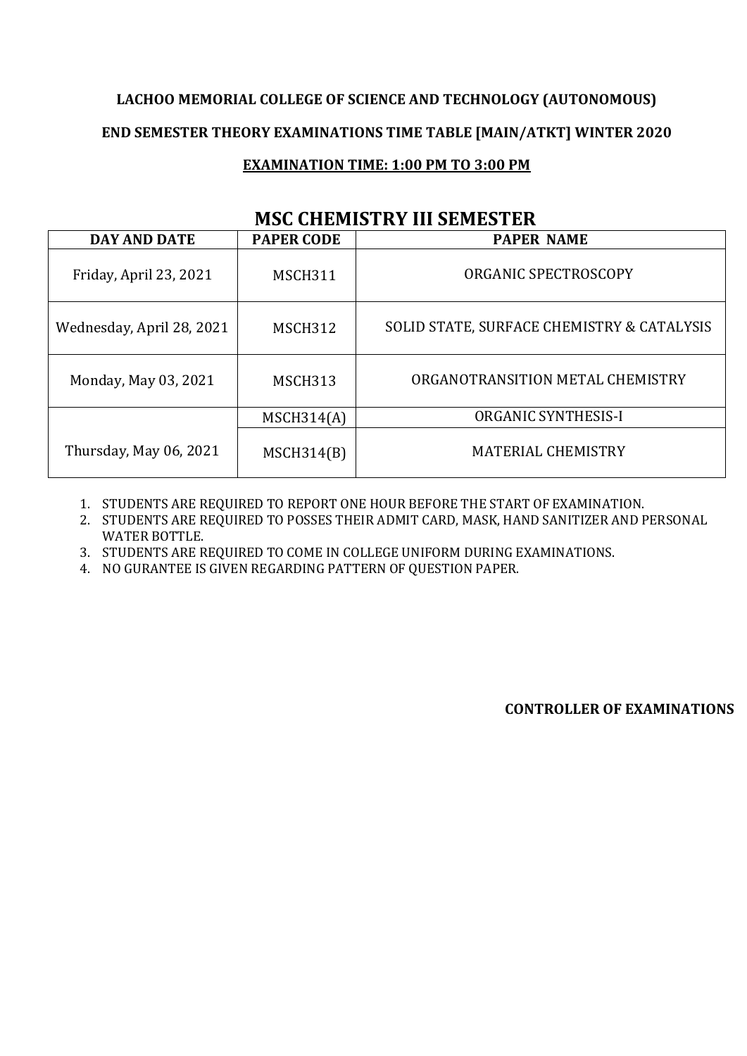## **LACHOO MEMORIAL COLLEGE OF SCIENCE AND TECHNOLOGY (AUTONOMOUS) END SEMESTER THEORY EXAMINATIONS TIME TABLE [MAIN/ATKT] WINTER 2020**

#### **EXAMINATION TIME: 1:00 PM TO 3:00 PM**

#### **MSC CHEMISTRY III SEMESTER**

| ridu umbritu mata madaribd man |                   |                                            |  |
|--------------------------------|-------------------|--------------------------------------------|--|
| <b>DAY AND DATE</b>            | <b>PAPER CODE</b> | <b>PAPER NAME</b>                          |  |
| Friday, April 23, 2021         | MSCH311           | ORGANIC SPECTROSCOPY                       |  |
| Wednesday, April 28, 2021      | MSCH312           | SOLID STATE, SURFACE CHEMISTRY & CATALYSIS |  |
| Monday, May 03, 2021           | <b>MSCH313</b>    | ORGANOTRANSITION METAL CHEMISTRY           |  |
|                                | MSCH314(A)        | <b>ORGANIC SYNTHESIS-I</b>                 |  |
| Thursday, May 06, 2021         | MSCH314(B)        | <b>MATERIAL CHEMISTRY</b>                  |  |

1. STUDENTS ARE REQUIRED TO REPORT ONE HOUR BEFORE THE START OF EXAMINATION.

2. STUDENTS ARE REQUIRED TO POSSES THEIR ADMIT CARD, MASK, HAND SANITIZER AND PERSONAL WATER BOTTLE.

3. STUDENTS ARE REQUIRED TO COME IN COLLEGE UNIFORM DURING EXAMINATIONS.

4. NO GURANTEE IS GIVEN REGARDING PATTERN OF QUESTION PAPER.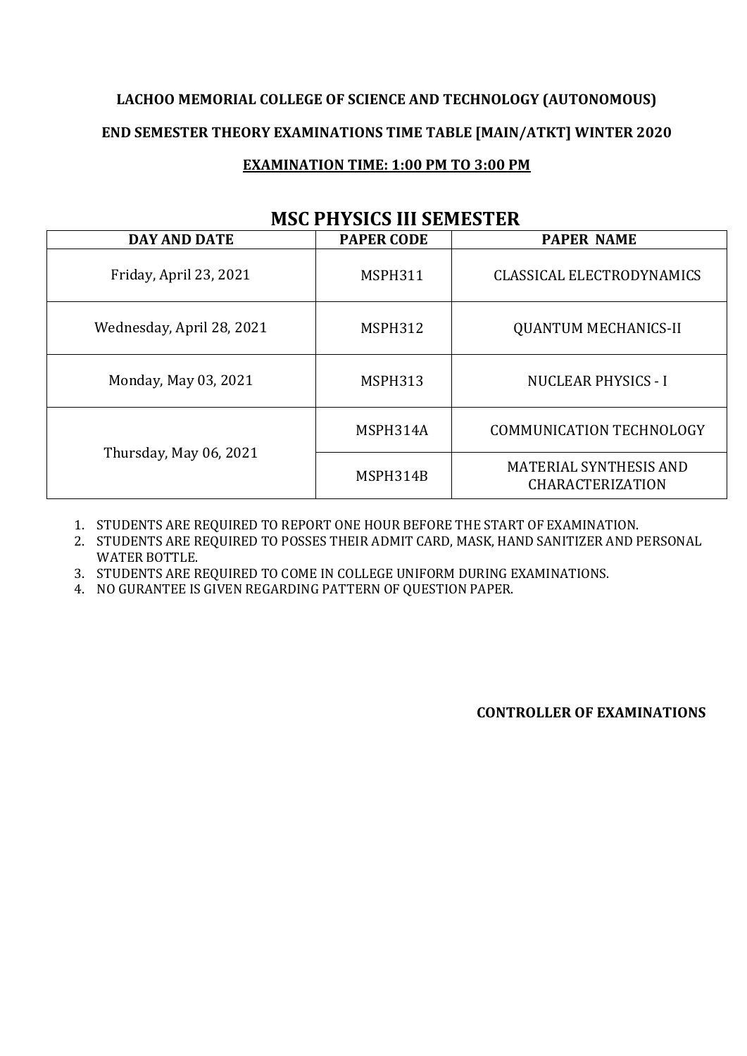| <b>DAY AND DATE</b>       | MOG I HITORO III JEMILO I ER<br><b>PAPER CODE</b> | <b>PAPER NAME</b>                                        |
|---------------------------|---------------------------------------------------|----------------------------------------------------------|
|                           |                                                   |                                                          |
| Friday, April 23, 2021    | <b>MSPH311</b>                                    | <b>CLASSICAL ELECTRODYNAMICS</b>                         |
| Wednesday, April 28, 2021 | MSPH312                                           | <b>QUANTUM MECHANICS-II</b>                              |
| Monday, May 03, 2021      | MSPH313                                           | <b>NUCLEAR PHYSICS - I</b>                               |
|                           | MSPH314A                                          | <b>COMMUNICATION TECHNOLOGY</b>                          |
| Thursday, May 06, 2021    | MSPH314B                                          | <b>MATERIAL SYNTHESIS AND</b><br><b>CHARACTERIZATION</b> |

#### **MSC PHYSICS III SEMESTER**

1. STUDENTS ARE REQUIRED TO REPORT ONE HOUR BEFORE THE START OF EXAMINATION.

2. STUDENTS ARE REQUIRED TO POSSES THEIR ADMIT CARD, MASK, HAND SANITIZER AND PERSONAL WATER BOTTLE.

3. STUDENTS ARE REQUIRED TO COME IN COLLEGE UNIFORM DURING EXAMINATIONS.

4. NO GURANTEE IS GIVEN REGARDING PATTERN OF QUESTION PAPER.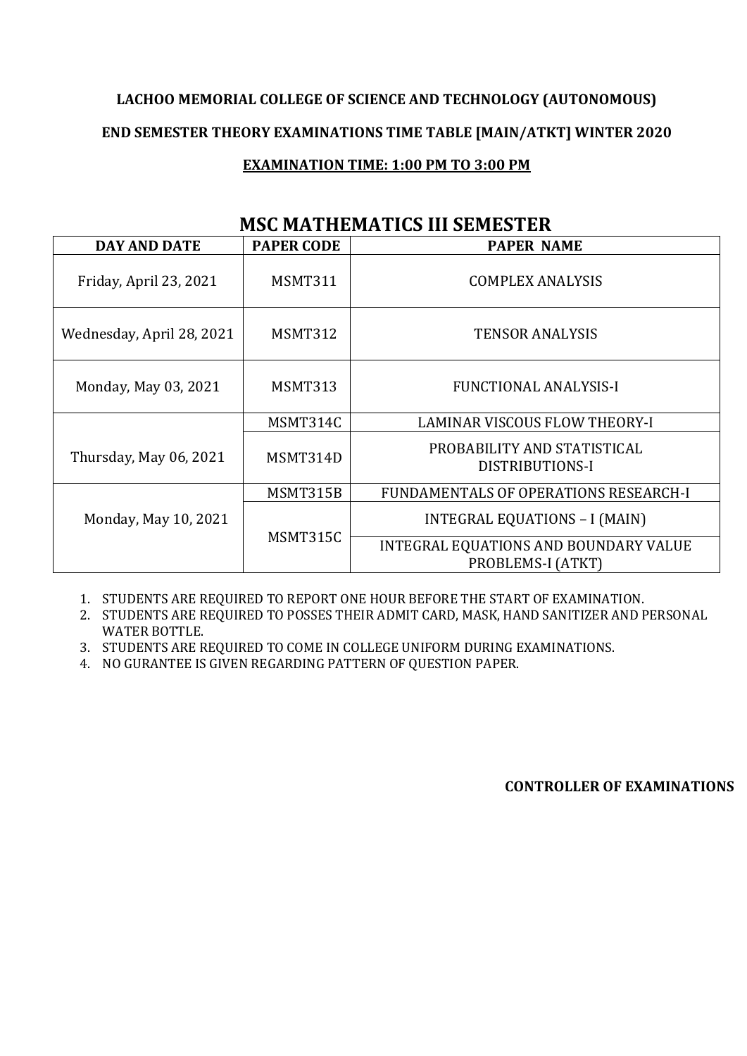| MSC MATHEMATICS III SEMESTER |                   |                                                            |  |
|------------------------------|-------------------|------------------------------------------------------------|--|
| <b>DAY AND DATE</b>          | <b>PAPER CODE</b> | <b>PAPER NAME</b>                                          |  |
| Friday, April 23, 2021       | MSMT311           | <b>COMPLEX ANALYSIS</b>                                    |  |
| Wednesday, April 28, 2021    | MSMT312           | <b>TENSOR ANALYSIS</b>                                     |  |
| Monday, May 03, 2021         | MSMT313           | <b>FUNCTIONAL ANALYSIS-I</b>                               |  |
|                              | MSMT314C          | <b>LAMINAR VISCOUS FLOW THEORY-I</b>                       |  |
| Thursday, May 06, 2021       | MSMT314D          | PROBABILITY AND STATISTICAL<br>DISTRIBUTIONS-I             |  |
|                              | MSMT315B          | FUNDAMENTALS OF OPERATIONS RESEARCH-I                      |  |
| Monday, May 10, 2021         | MSMT315C          | INTEGRAL EQUATIONS - I (MAIN)                              |  |
|                              |                   | INTEGRAL EQUATIONS AND BOUNDARY VALUE<br>PROBLEMS-I (ATKT) |  |

#### **MSC MATHEMATICS III SEMESTER**

1. STUDENTS ARE REQUIRED TO REPORT ONE HOUR BEFORE THE START OF EXAMINATION.

2. STUDENTS ARE REQUIRED TO POSSES THEIR ADMIT CARD, MASK, HAND SANITIZER AND PERSONAL WATER BOTTLE.

3. STUDENTS ARE REQUIRED TO COME IN COLLEGE UNIFORM DURING EXAMINATIONS.

4. NO GURANTEE IS GIVEN REGARDING PATTERN OF QUESTION PAPER.